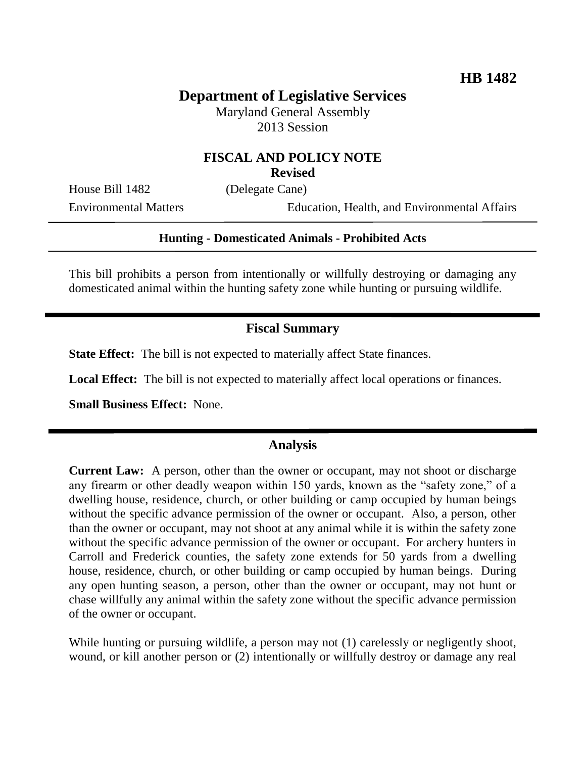# **Department of Legislative Services**

Maryland General Assembly 2013 Session

#### **FISCAL AND POLICY NOTE Revised**

House Bill 1482 (Delegate Cane)

Environmental Matters Education, Health, and Environmental Affairs

#### **Hunting - Domesticated Animals - Prohibited Acts**

This bill prohibits a person from intentionally or willfully destroying or damaging any domesticated animal within the hunting safety zone while hunting or pursuing wildlife.

## **Fiscal Summary**

**State Effect:** The bill is not expected to materially affect State finances.

**Local Effect:** The bill is not expected to materially affect local operations or finances.

**Small Business Effect:** None.

## **Analysis**

**Current Law:** A person, other than the owner or occupant, may not shoot or discharge any firearm or other deadly weapon within 150 yards, known as the "safety zone," of a dwelling house, residence, church, or other building or camp occupied by human beings without the specific advance permission of the owner or occupant. Also, a person, other than the owner or occupant, may not shoot at any animal while it is within the safety zone without the specific advance permission of the owner or occupant. For archery hunters in Carroll and Frederick counties, the safety zone extends for 50 yards from a dwelling house, residence, church, or other building or camp occupied by human beings. During any open hunting season, a person, other than the owner or occupant, may not hunt or chase willfully any animal within the safety zone without the specific advance permission of the owner or occupant.

While hunting or pursuing wildlife, a person may not (1) carelessly or negligently shoot, wound, or kill another person or (2) intentionally or willfully destroy or damage any real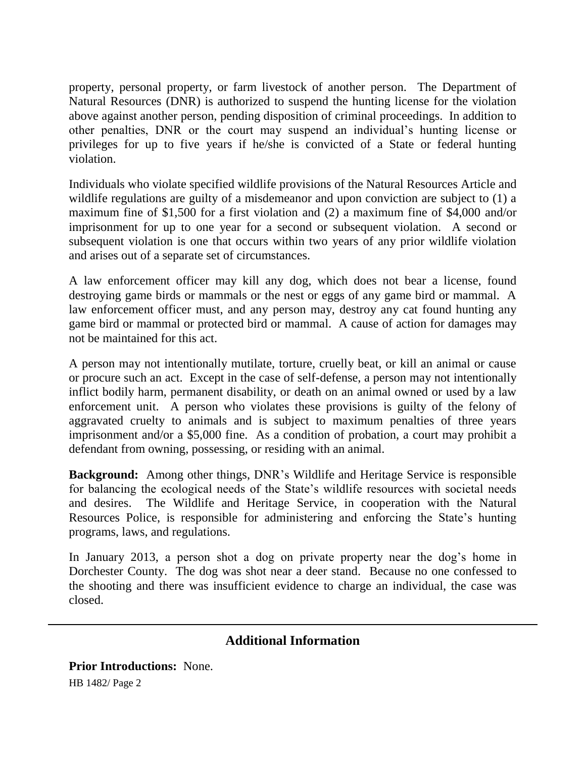property, personal property, or farm livestock of another person. The Department of Natural Resources (DNR) is authorized to suspend the hunting license for the violation above against another person, pending disposition of criminal proceedings. In addition to other penalties, DNR or the court may suspend an individual's hunting license or privileges for up to five years if he/she is convicted of a State or federal hunting violation.

Individuals who violate specified wildlife provisions of the Natural Resources Article and wildlife regulations are guilty of a misdemeanor and upon conviction are subject to (1) a maximum fine of \$1,500 for a first violation and (2) a maximum fine of \$4,000 and/or imprisonment for up to one year for a second or subsequent violation. A second or subsequent violation is one that occurs within two years of any prior wildlife violation and arises out of a separate set of circumstances.

A law enforcement officer may kill any dog, which does not bear a license, found destroying game birds or mammals or the nest or eggs of any game bird or mammal. A law enforcement officer must, and any person may, destroy any cat found hunting any game bird or mammal or protected bird or mammal. A cause of action for damages may not be maintained for this act.

A person may not intentionally mutilate, torture, cruelly beat, or kill an animal or cause or procure such an act. Except in the case of self-defense, a person may not intentionally inflict bodily harm, permanent disability, or death on an animal owned or used by a law enforcement unit. A person who violates these provisions is guilty of the felony of aggravated cruelty to animals and is subject to maximum penalties of three years imprisonment and/or a \$5,000 fine. As a condition of probation, a court may prohibit a defendant from owning, possessing, or residing with an animal.

**Background:** Among other things, DNR's Wildlife and Heritage Service is responsible for balancing the ecological needs of the State's wildlife resources with societal needs and desires. The Wildlife and Heritage Service, in cooperation with the Natural Resources Police, is responsible for administering and enforcing the State's hunting programs, laws, and regulations.

In January 2013, a person shot a dog on private property near the dog's home in Dorchester County. The dog was shot near a deer stand. Because no one confessed to the shooting and there was insufficient evidence to charge an individual, the case was closed.

## **Additional Information**

HB 1482/ Page 2 **Prior Introductions:** None.